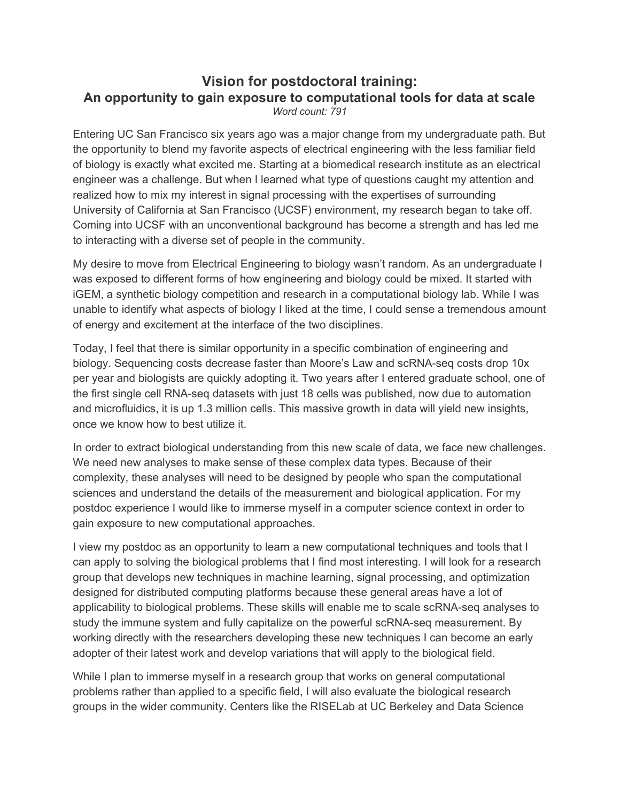## **Vision for postdoctoral training: An opportunity to gain exposure to computational tools for data at scale** *Word count: 791*

Entering UC San Francisco six years ago was a major change from my undergraduate path. But the opportunity to blend my favorite aspects of electrical engineering with the less familiar field of biology is exactly what excited me. Starting at a biomedical research institute as an electrical engineer was a challenge. But when I learned what type of questions caught my attention and realized how to mix my interest in signal processing with the expertises of surrounding University of California at San Francisco (UCSF) environment, my research began to take off. Coming into UCSF with an unconventional background has become a strength and has led me to interacting with a diverse set of people in the community.

My desire to move from Electrical Engineering to biology wasn't random. As an undergraduate I was exposed to different forms of how engineering and biology could be mixed. It started with iGEM, a synthetic biology competition and research in a computational biology lab. While I was unable to identify what aspects of biology I liked at the time, I could sense a tremendous amount of energy and excitement at the interface of the two disciplines.

Today, I feel that there is similar opportunity in a specific combination of engineering and biology. Sequencing costs decrease faster than Moore's Law and scRNA-seq costs drop 10x per year and biologists are quickly adopting it. Two years after I entered graduate school, one of the first single cell RNA-seq datasets with just 18 cells was published, now due to automation and microfluidics, it is up 1.3 million cells. This massive growth in data will yield new insights, once we know how to best utilize it.

In order to extract biological understanding from this new scale of data, we face new challenges. We need new analyses to make sense of these complex data types. Because of their complexity, these analyses will need to be designed by people who span the computational sciences and understand the details of the measurement and biological application. For my postdoc experience I would like to immerse myself in a computer science context in order to gain exposure to new computational approaches.

I view my postdoc as an opportunity to learn a new computational techniques and tools that I can apply to solving the biological problems that I find most interesting. I will look for a research group that develops new techniques in machine learning, signal processing, and optimization designed for distributed computing platforms because these general areas have a lot of applicability to biological problems. These skills will enable me to scale scRNA-seq analyses to study the immune system and fully capitalize on the powerful scRNA-seq measurement. By working directly with the researchers developing these new techniques I can become an early adopter of their latest work and develop variations that will apply to the biological field.

While I plan to immerse myself in a research group that works on general computational problems rather than applied to a specific field, I will also evaluate the biological research groups in the wider community. Centers like the RISELab at UC Berkeley and Data Science